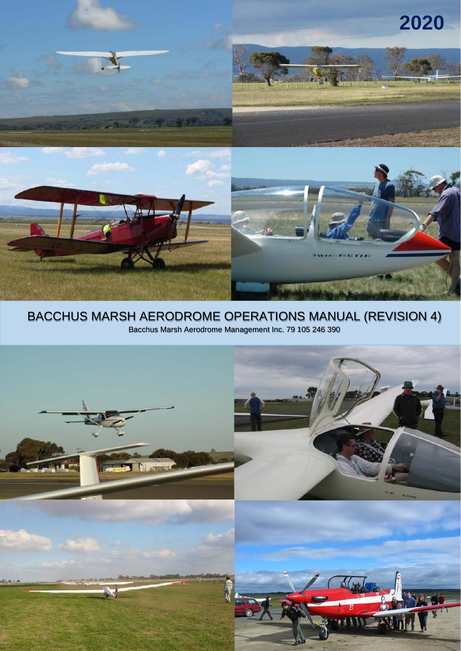

# BACCHUS MARSH AERODROME OPERATIONS MANUAL (REVISION 4) Bacchus Marsh Aerodrome Management Inc. 79 105 246 390

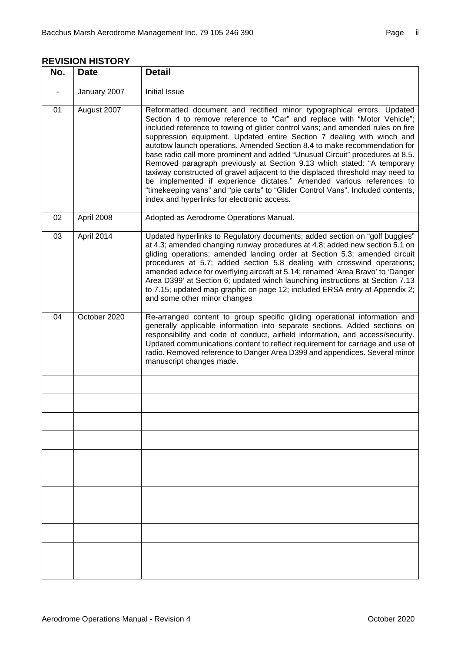| No.                      | <b>Date</b>  | <b>Detail</b>                                                                                                                                                                                                                                                                                                                                                                                                                                                                                                                                                                                                                                                                                                                                                                                                                                       |
|--------------------------|--------------|-----------------------------------------------------------------------------------------------------------------------------------------------------------------------------------------------------------------------------------------------------------------------------------------------------------------------------------------------------------------------------------------------------------------------------------------------------------------------------------------------------------------------------------------------------------------------------------------------------------------------------------------------------------------------------------------------------------------------------------------------------------------------------------------------------------------------------------------------------|
| $\overline{\phantom{m}}$ | January 2007 | <b>Initial Issue</b>                                                                                                                                                                                                                                                                                                                                                                                                                                                                                                                                                                                                                                                                                                                                                                                                                                |
| 01                       | August 2007  | Reformatted document and rectified minor typographical errors. Updated<br>Section 4 to remove reference to "Car" and replace with "Motor Vehicle";<br>included reference to towing of glider control vans; and amended rules on fire<br>suppression equipment. Updated entire Section 7 dealing with winch and<br>autotow launch operations. Amended Section 8.4 to make recommendation for<br>base radio call more prominent and added "Unusual Circuit" procedures at 8.5.<br>Removed paragraph previously at Section 9.13 which stated: "A temporary<br>taxiway constructed of gravel adjacent to the displaced threshold may need to<br>be implemented if experience dictates." Amended various references to<br>"timekeeping vans" and "pie carts" to "Glider Control Vans". Included contents,<br>index and hyperlinks for electronic access. |
| 02                       | April 2008   | Adopted as Aerodrome Operations Manual.                                                                                                                                                                                                                                                                                                                                                                                                                                                                                                                                                                                                                                                                                                                                                                                                             |
| 03                       | April 2014   | Updated hyperlinks to Regulatory documents; added section on "golf buggies"<br>at 4.3; amended changing runway procedures at 4.8; added new section 5.1 on<br>gliding operations; amended landing order at Section 5.3; amended circuit<br>procedures at 5.7; added section 5.8 dealing with crosswind operations;<br>amended advice for overflying aircraft at 5.14; renamed 'Area Bravo' to 'Danger<br>Area D399' at Section 6; updated winch launching instructions at Section 7.13<br>to 7.15; updated map graphic on page 12; included ERSA entry at Appendix 2;<br>and some other minor changes                                                                                                                                                                                                                                               |
| 04                       | October 2020 | Re-arranged content to group specific gliding operational information and<br>generally applicable information into separate sections. Added sections on<br>responsibility and code of conduct, airfield information, and access/security.<br>Updated communications content to reflect requirement for carriage and use of<br>radio. Removed reference to Danger Area D399 and appendices. Several minor<br>manuscript changes made.                                                                                                                                                                                                                                                                                                                                                                                                                |
|                          |              |                                                                                                                                                                                                                                                                                                                                                                                                                                                                                                                                                                                                                                                                                                                                                                                                                                                     |
|                          |              |                                                                                                                                                                                                                                                                                                                                                                                                                                                                                                                                                                                                                                                                                                                                                                                                                                                     |
|                          |              |                                                                                                                                                                                                                                                                                                                                                                                                                                                                                                                                                                                                                                                                                                                                                                                                                                                     |
|                          |              |                                                                                                                                                                                                                                                                                                                                                                                                                                                                                                                                                                                                                                                                                                                                                                                                                                                     |
|                          |              |                                                                                                                                                                                                                                                                                                                                                                                                                                                                                                                                                                                                                                                                                                                                                                                                                                                     |
|                          |              |                                                                                                                                                                                                                                                                                                                                                                                                                                                                                                                                                                                                                                                                                                                                                                                                                                                     |
|                          |              |                                                                                                                                                                                                                                                                                                                                                                                                                                                                                                                                                                                                                                                                                                                                                                                                                                                     |
|                          |              |                                                                                                                                                                                                                                                                                                                                                                                                                                                                                                                                                                                                                                                                                                                                                                                                                                                     |
|                          |              |                                                                                                                                                                                                                                                                                                                                                                                                                                                                                                                                                                                                                                                                                                                                                                                                                                                     |
|                          |              |                                                                                                                                                                                                                                                                                                                                                                                                                                                                                                                                                                                                                                                                                                                                                                                                                                                     |
|                          |              |                                                                                                                                                                                                                                                                                                                                                                                                                                                                                                                                                                                                                                                                                                                                                                                                                                                     |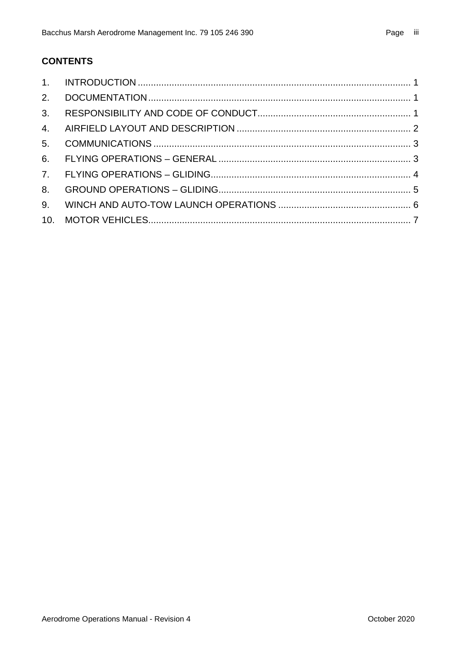# **CONTENTS**

| 3.             |  |
|----------------|--|
| 4.             |  |
| 5 <sub>1</sub> |  |
|                |  |
|                |  |
| 8.             |  |
| 9.             |  |
|                |  |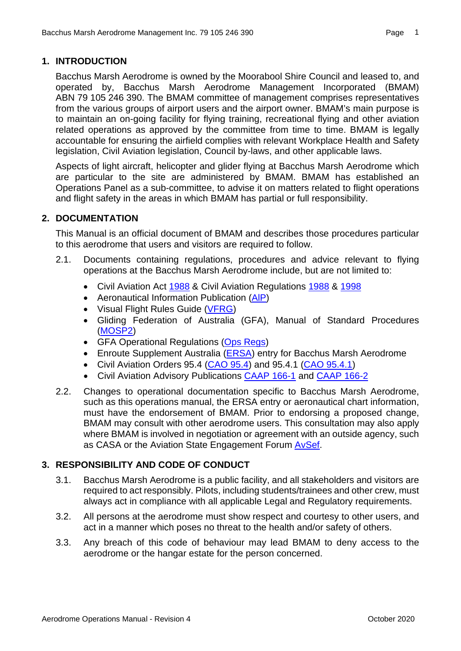<span id="page-3-0"></span>Bacchus Marsh Aerodrome is owned by the Moorabool Shire Council and leased to, and operated by, Bacchus Marsh Aerodrome Management Incorporated (BMAM) ABN 79 105 246 390. The BMAM committee of management comprises representatives from the various groups of airport users and the airport owner. BMAM's main purpose is to maintain an on-going facility for flying training, recreational flying and other aviation related operations as approved by the committee from time to time. BMAM is legally accountable for ensuring the airfield complies with relevant Workplace Health and Safety legislation, Civil Aviation legislation, Council by-laws, and other applicable laws.

Aspects of light aircraft, helicopter and glider flying at Bacchus Marsh Aerodrome which are particular to the site are administered by BMAM. BMAM has established an Operations Panel as a sub-committee, to advise it on matters related to flight operations and flight safety in the areas in which BMAM has partial or full responsibility.

#### <span id="page-3-1"></span>**2. DOCUMENTATION**

This Manual is an official document of BMAM and describes those procedures particular to this aerodrome that users and visitors are required to follow.

- 2.1. Documents containing regulations, procedures and advice relevant to flying operations at the Bacchus Marsh Aerodrome include, but are not limited to:
	- Civil Aviation Act [1988](http://www.comlaw.gov.au/Series/C2004A03656) & Civil Aviation Regulations [1988](https://www.legislation.gov.au/Series/F1997B00935) & [1998](http://www.comlaw.gov.au/Series/F1998B00220)
	- Aeronautical Information Publication (AIP)
	- Visual Flight Rules Guide [\(VFRG\)](https://vfrg.casa.gov.au/)
	- Gliding Federation of Australia (GFA), Manual of Standard Procedures [\(MOSP2\)](https://drive.google.com/file/d/0B775i9ACh45kenMtYXhwV1h3d3c/view?usp=sharing)
	- GFA Operational Regulations [\(Ops Regs\)](https://drive.google.com/file/d/0B775i9ACh45kMWoxdHNTd0lWdU0/view?usp=sharing)
	- Enroute Supplement Australia [\(ERSA\)](https://www.airservicesaustralia.com/aip/aip.asp?) entry for Bacchus Marsh Aerodrome
	- Civil Aviation Orders 95.4 [\(CAO 95.4\)](http://www.comlaw.gov.au/Details/F2012C00683) and 95.4.1 [\(CAO 95.4.1\)](http://www.comlaw.gov.au/Details/F2013C00286)
	- Civil Aviation Advisory Publications [CAAP 166-1](https://www.casa.gov.au/files/caap-166-01-v42) and [CAAP 166-2](https://www.casa.gov.au/files/caap-166-21)
- <span id="page-3-3"></span>2.2. Changes to operational documentation specific to Bacchus Marsh Aerodrome, such as this operations manual, the [ERSA](#page-3-3) entry or aeronautical chart information, must have the endorsement of BMAM. Prior to endorsing a proposed change, BMAM may consult with other aerodrome users. This consultation may also apply where BMAM is involved in negotiation or agreement with an outside agency, such as CASA or the Aviation State Engagement Forum [AvSef.](https://www.avsef.gov.au/)

# <span id="page-3-2"></span>**3. RESPONSIBILITY AND CODE OF CONDUCT**

- 3.1. Bacchus Marsh Aerodrome is a public facility, and all stakeholders and visitors are required to act responsibly. Pilots, including students/trainees and other crew, must always act in compliance with all applicable Legal and Regulatory requirements.
- 3.2. All persons at the aerodrome must show respect and courtesy to other users, and act in a manner which poses no threat to the health and/or safety of others.
- 3.3. Any breach of this code of behaviour may lead BMAM to deny access to the aerodrome or the hangar estate for the person concerned.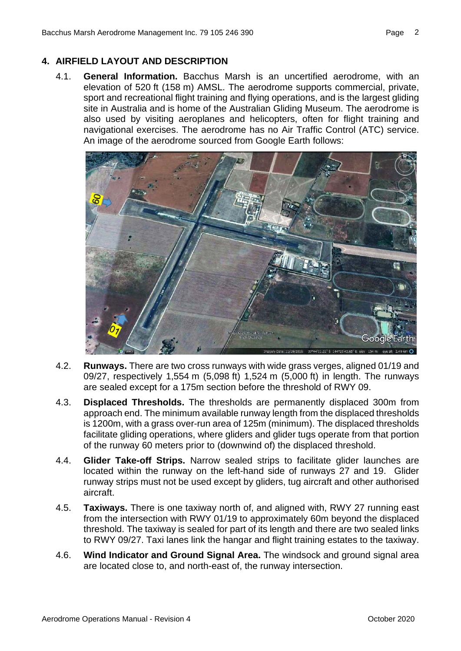#### <span id="page-4-0"></span>**4. AIRFIELD LAYOUT AND DESCRIPTION**

4.1. **General Information.** Bacchus Marsh is an uncertified aerodrome, with an elevation of 520 ft (158 m) AMSL. The aerodrome supports commercial, private, sport and recreational flight training and flying operations, and is the largest gliding site in Australia and is home of the Australian Gliding Museum. The aerodrome is also used by visiting aeroplanes and helicopters, often for flight training and navigational exercises. The aerodrome has no Air Traffic Control (ATC) service. An image of the aerodrome sourced from Google Earth follows:



- 4.2. **Runways.** There are two cross runways with wide grass verges, aligned 01/19 and 09/27, respectively 1,554 m (5,098 ft) 1,524 m (5,000 ft) in length. The runways are sealed except for a 175m section before the threshold of RWY 09.
- 4.3. **Displaced Thresholds.** The thresholds are permanently displaced 300m from approach end. The minimum available runway length from the displaced thresholds is 1200m, with a grass over-run area of 125m (minimum). The displaced thresholds facilitate gliding operations, where gliders and glider tugs operate from that portion of the runway 60 meters prior to (downwind of) the displaced threshold.
- 4.4. **Glider Take-off Strips.** Narrow sealed strips to facilitate glider launches are located within the runway on the left-hand side of runways 27 and 19. Glider runway strips must not be used except by gliders, tug aircraft and other authorised aircraft.
- 4.5. **Taxiways.** There is one taxiway north of, and aligned with, RWY 27 running east from the intersection with RWY 01/19 to approximately 60m beyond the displaced threshold. The taxiway is sealed for part of its length and there are two sealed links to RWY 09/27. Taxi lanes link the hangar and flight training estates to the taxiway.
- 4.6. **Wind Indicator and Ground Signal Area.** The windsock and ground signal area are located close to, and north-east of, the runway intersection.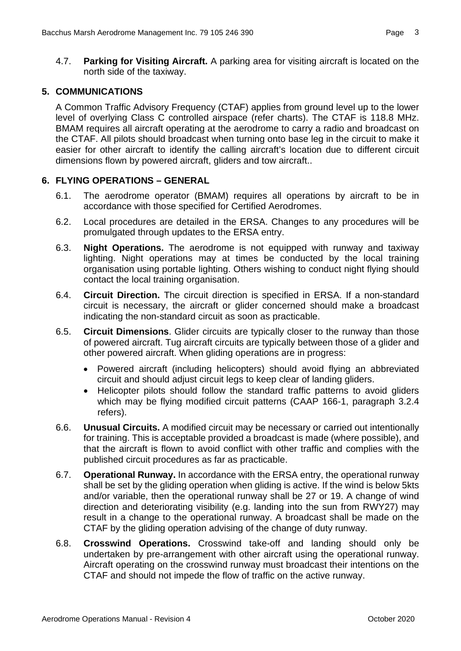4.7. **Parking for Visiting Aircraft.** A parking area for visiting aircraft is located on the north side of the taxiway.

#### <span id="page-5-0"></span>**5. COMMUNICATIONS**

A Common Traffic Advisory Frequency (CTAF) applies from ground level up to the lower level of overlying Class C controlled airspace (refer charts). The CTAF is 118.8 MHz. BMAM requires all aircraft operating at the aerodrome to carry a radio and broadcast on the CTAF. All pilots should broadcast when turning onto base leg in the circuit to make it easier for other aircraft to identify the calling aircraft's location due to different circuit dimensions flown by powered aircraft, gliders and tow aircraft..

#### <span id="page-5-1"></span>**6. FLYING OPERATIONS – GENERAL**

- 6.1. The aerodrome operator (BMAM) requires all operations by aircraft to be in accordance with those specified for Certified Aerodromes.
- 6.2. Local procedures are detailed in the ERSA. Changes to any procedures will be promulgated through updates to the ERSA entry.
- 6.3. **Night Operations.** The aerodrome is not equipped with runway and taxiway lighting. Night operations may at times be conducted by the local training organisation using portable lighting. Others wishing to conduct night flying should contact the local training organisation.
- 6.4. **Circuit Direction.** The circuit direction is specified in ERSA. If a non-standard circuit is necessary, the aircraft or glider concerned should make a broadcast indicating the non-standard circuit as soon as practicable.
- 6.5. **Circuit Dimensions**. Glider circuits are typically closer to the runway than those of powered aircraft. Tug aircraft circuits are typically between those of a glider and other powered aircraft. When gliding operations are in progress:
	- Powered aircraft (including helicopters) should avoid flying an abbreviated circuit and should adjust circuit legs to keep clear of landing gliders.
	- Helicopter pilots should follow the standard traffic patterns to avoid gliders which may be flying modified circuit patterns (CAAP 166-1, paragraph 3.2.4 refers).
- 6.6. **Unusual Circuits.** A modified circuit may be necessary or carried out intentionally for training. This is acceptable provided a broadcast is made (where possible), and that the aircraft is flown to avoid conflict with other traffic and complies with the published circuit procedures as far as practicable.
- <span id="page-5-2"></span>6.7. **Operational Runway.** In accordance with the ERSA entry, the operational runway shall be set by the gliding operation when gliding is active. If the wind is below 5kts and/or variable, then the operational runway shall be 27 or 19. A change of wind direction and deteriorating visibility (e.g. landing into the sun from RWY27) may result in a change to the operational runway. A broadcast shall be made on the CTAF by the gliding operation advising of the change of duty runway.
- 6.8. **Crosswind Operations.** Crosswind take-off and landing should only be undertaken by pre-arrangement with other aircraft using the operational runway. Aircraft operating on the crosswind runway must broadcast their intentions on the CTAF and should not impede the flow of traffic on the active runway.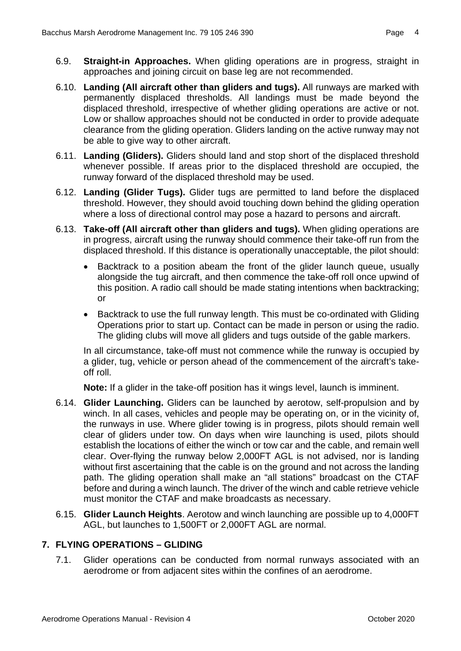- 6.9. **Straight-in Approaches.** When gliding operations are in progress, straight in approaches and joining circuit on base leg are not recommended.
- 6.10. **Landing (All aircraft other than gliders and tugs).** All runways are marked with permanently displaced thresholds. All landings must be made beyond the displaced threshold, irrespective of whether gliding operations are active or not. Low or shallow approaches should not be conducted in order to provide adequate clearance from the gliding operation. Gliders landing on the active runway may not be able to give way to other aircraft.
- 6.11. **Landing (Gliders).** Gliders should land and stop short of the displaced threshold whenever possible. If areas prior to the displaced threshold are occupied, the runway forward of the displaced threshold may be used.
- 6.12. **Landing (Glider Tugs).** Glider tugs are permitted to land before the displaced threshold. However, they should avoid touching down behind the gliding operation where a loss of directional control may pose a hazard to persons and aircraft.
- 6.13. **Take-off (All aircraft other than gliders and tugs).** When gliding operations are in progress, aircraft using the runway should commence their take-off run from the displaced threshold. If this distance is operationally unacceptable, the pilot should:
	- Backtrack to a position abeam the front of the glider launch queue, usually alongside the tug aircraft, and then commence the take-off roll once upwind of this position. A radio call should be made stating intentions when backtracking; or
	- Backtrack to use the full runway length. This must be co-ordinated with Gliding Operations prior to start up. Contact can be made in person or using the radio. The gliding clubs will move all gliders and tugs outside of the gable markers.

In all circumstance, take-off must not commence while the runway is occupied by a glider, tug, vehicle or person ahead of the commencement of the aircraft's takeoff roll.

**Note:** If a glider in the take-off position has it wings level, launch is imminent.

- 6.14. **Glider Launching.** Gliders can be launched by aerotow, self-propulsion and by winch. In all cases, vehicles and people may be operating on, or in the vicinity of, the runways in use. Where glider towing is in progress, pilots should remain well clear of gliders under tow. On days when wire launching is used, pilots should establish the locations of either the winch or tow car and the cable, and remain well clear. Over-flying the runway below 2,000FT AGL is not advised, nor is landing without first ascertaining that the cable is on the ground and not across the landing path. The gliding operation shall make an "all stations" broadcast on the CTAF before and during a winch launch. The driver of the winch and cable retrieve vehicle must monitor the CTAF and make broadcasts as necessary.
- 6.15. **Glider Launch Heights**. Aerotow and winch launching are possible up to 4,000FT AGL, but launches to 1,500FT or 2,000FT AGL are normal.

# <span id="page-6-0"></span>**7. FLYING OPERATIONS – GLIDING**

7.1. Glider operations can be conducted from normal runways associated with an aerodrome or from adjacent sites within the confines of an aerodrome.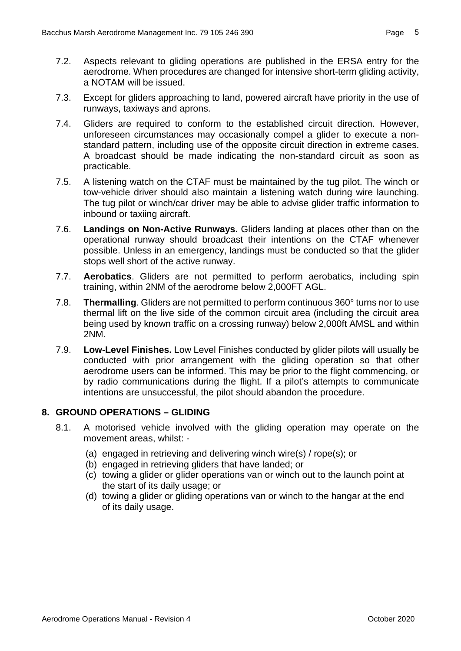- 7.2. Aspects relevant to gliding operations are published in the ERSA entry for the aerodrome. When procedures are changed for intensive short-term gliding activity, a NOTAM will be issued.
- 7.3. Except for gliders approaching to land, powered aircraft have priority in the use of runways, taxiways and aprons.
- 7.4. Gliders are required to conform to the established circuit direction. However, unforeseen circumstances may occasionally compel a glider to execute a nonstandard pattern, including use of the opposite circuit direction in extreme cases. A broadcast should be made indicating the non-standard circuit as soon as practicable.
- 7.5. A listening watch on the CTAF must be maintained by the tug pilot. The winch or tow-vehicle driver should also maintain a listening watch during wire launching. The tug pilot or winch/car driver may be able to advise glider traffic information to inbound or taxiing aircraft.
- 7.6. **Landings on Non-Active Runways.** Gliders landing at places other than on the operational runway should broadcast their intentions on the CTAF whenever possible. Unless in an emergency, landings must be conducted so that the glider stops well short of the active runway.
- 7.7. **Aerobatics**. Gliders are not permitted to perform aerobatics, including spin training, within 2NM of the aerodrome below 2,000FT AGL.
- 7.8. **Thermalling**. Gliders are not permitted to perform continuous 360° turns nor to use thermal lift on the live side of the common circuit area (including the circuit area being used by known traffic on a crossing runway) below 2,000ft AMSL and within 2NM.
- 7.9. **Low-Level Finishes.** Low Level Finishes conducted by glider pilots will usually be conducted with prior arrangement with the gliding operation so that other aerodrome users can be informed. This may be prior to the flight commencing, or by radio communications during the flight. If a pilot's attempts to communicate intentions are unsuccessful, the pilot should abandon the procedure.

#### <span id="page-7-1"></span><span id="page-7-0"></span>**8. GROUND OPERATIONS – GLIDING**

- 8.1. A motorised vehicle involved with the gliding operation may operate on the movement areas, whilst: -
	- (a) engaged in retrieving and delivering winch wire(s) / rope(s); or
	- (b) engaged in retrieving gliders that have landed; or
	- (c) towing a glider or glider operations van or winch out to the launch point at the start of its daily usage; or
	- (d) towing a glider or gliding operations van or winch to the hangar at the end of its daily usage.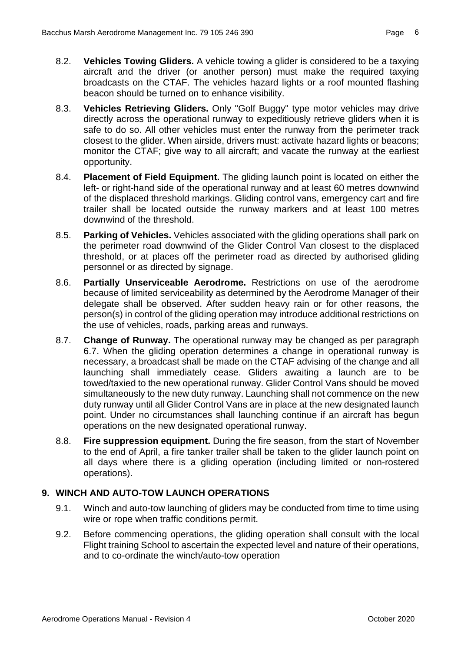- 8.2. **Vehicles Towing Gliders.** A vehicle towing a glider is considered to be a taxying aircraft and the driver (or another person) must make the required taxying broadcasts on the CTAF. The vehicles hazard lights or a roof mounted flashing beacon should be turned on to enhance visibility.
- 8.3. **Vehicles Retrieving Gliders.** Only "Golf Buggy" type motor vehicles may drive directly across the operational runway to expeditiously retrieve gliders when it is safe to do so. All other vehicles must enter the runway from the perimeter track closest to the glider. When airside, drivers must: activate hazard lights or beacons; monitor the CTAF; give way to all aircraft; and vacate the runway at the earliest opportunity.
- 8.4. **Placement of Field Equipment.** The gliding launch point is located on either the left- or right-hand side of the operational runway and at least 60 metres downwind of the displaced threshold markings. Gliding control vans, emergency cart and fire trailer shall be located outside the runway markers and at least 100 metres downwind of the threshold.
- 8.5. **Parking of Vehicles.** Vehicles associated with the gliding operations shall park on the perimeter road downwind of the Glider Control Van closest to the displaced threshold, or at places off the perimeter road as directed by authorised gliding personnel or as directed by signage.
- 8.6. **Partially Unserviceable Aerodrome.** Restrictions on use of the aerodrome because of limited serviceability as determined by the Aerodrome Manager of their delegate shall be observed. After sudden heavy rain or for other reasons, the person(s) in control of the gliding operation may introduce additional restrictions on the use of vehicles, roads, parking areas and runways.
- 8.7. **Change of Runway.** The operational runway may be changed as per paragraph [6.7.](#page-5-2) When the gliding operation determines a change in operational runway is necessary, a broadcast shall be made on the CTAF advising of the change and all launching shall immediately cease. Gliders awaiting a launch are to be towed/taxied to the new operational runway. Glider Control Vans should be moved simultaneously to the new duty runway. Launching shall not commence on the new duty runway until all Glider Control Vans are in place at the new designated launch point. Under no circumstances shall launching continue if an aircraft has begun operations on the new designated operational runway.
- 8.8. **Fire suppression equipment.** During the fire season, from the start of November to the end of April, a fire tanker trailer shall be taken to the glider launch point on all days where there is a gliding operation (including limited or non-rostered operations).

# <span id="page-8-0"></span>**9. WINCH AND AUTO-TOW LAUNCH OPERATIONS**

- 9.1. Winch and auto-tow launching of gliders may be conducted from time to time using wire or rope when traffic conditions permit.
- 9.2. Before commencing operations, the gliding operation shall consult with the local Flight training School to ascertain the expected level and nature of their operations, and to co-ordinate the winch/auto-tow operation